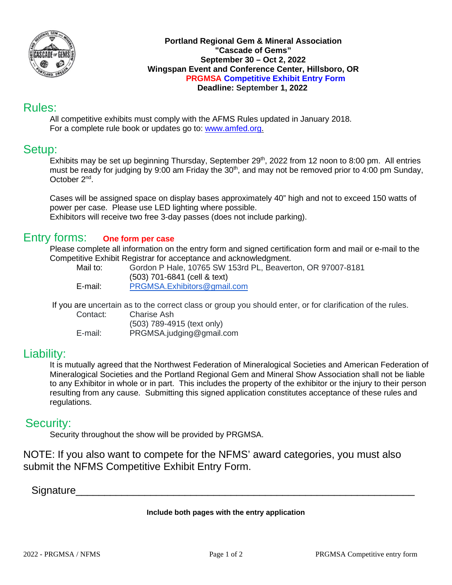

#### **Portland Regional Gem & Mineral Association "Cascade of Gems" September 30 – Oct 2, 2022 Wingspan Event and Conference Center, Hillsboro, OR PRGMSA Competitive Exhibit Entry Form Deadline: September 1, 2022**

# Rules:

All competitive exhibits must comply with the AFMS Rules updated in January 2018. For a complete rule book or updates go to: [www.amfed.org.](http://www.amfed.org/)

# Setup:

Exhibits may be set up beginning Thursday, September 29<sup>th</sup>, 2022 from 12 noon to 8:00 pm. All entries must be ready for judging by 9:00 am Friday the 30<sup>th</sup>, and may not be removed prior to 4:00 pm Sunday, October 2nd.

Cases will be assigned space on display bases approximately 40" high and not to exceed 150 watts of power per case. Please use LED lighting where possible. Exhibitors will receive two free 3-day passes (does not include parking).

### Entry forms: **One form per case**

Please complete all information on the entry form and signed certification form and mail or e-mail to the Competitive Exhibit Registrar for acceptance and acknowledgment.

Gordon P Hale, 10765 SW 153rd PL, Beaverton, OR 97007-8181 (503) 701-6841 (cell & text) E-mail: [PRGMSA.Exhibitors@gmail.com](mailto:PRGMS.Exhibitors@gmail.com)

If you are uncertain as to the correct class or group you should enter, or for clarification of the rules.

Contact: Charise Ash (503) 789-4915 (text only) E-mail: PRGMSA.judging@gmail.com

## Liability:

It is mutually agreed that the Northwest Federation of Mineralogical Societies and American Federation of Mineralogical Societies and the Portland Regional Gem and Mineral Show Association shall not be liable to any Exhibitor in whole or in part. This includes the property of the exhibitor or the injury to their person resulting from any cause. Submitting this signed application constitutes acceptance of these rules and regulations.

## Security:

Security throughout the show will be provided by PRGMSA.

NOTE: If you also want to compete for the NFMS' award categories, you must also submit the NFMS Competitive Exhibit Entry Form.

Signature

### **Include both pages with the entry application**